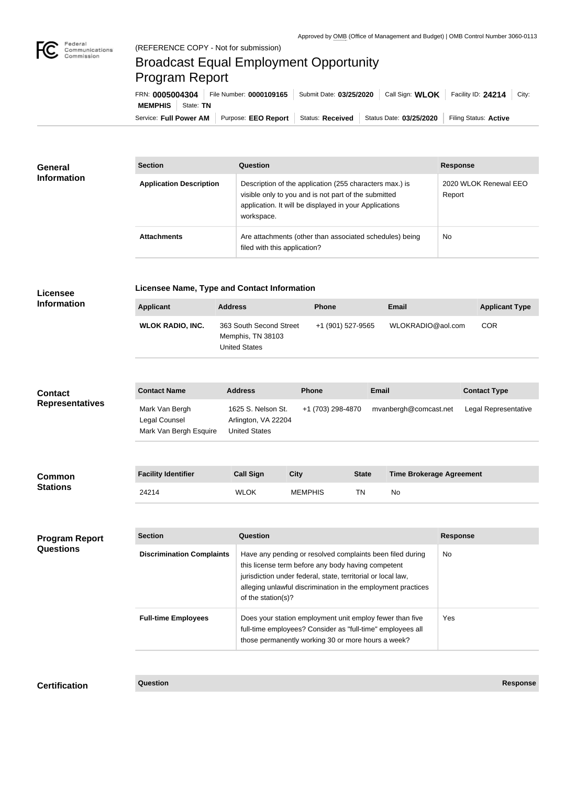

## Broadcast Equal Employment Opportunity Program Report

Service: Full Power AM | Purpose: EEO Report | Status: Received | Status Date: 03/25/2020 | Filing Status: Active **MEMPHIS** | State: TN FRN: **0005004304** File Number: **0000109165** Submit Date: **03/25/2020** Call Sign: **WLOK** Facility ID: **24214** City:

| General<br><b>Information</b> | <b>Section</b>                 | Question                                                                                                                                                                                | <b>Response</b>                 |  |
|-------------------------------|--------------------------------|-----------------------------------------------------------------------------------------------------------------------------------------------------------------------------------------|---------------------------------|--|
|                               | <b>Application Description</b> | Description of the application (255 characters max.) is<br>visible only to you and is not part of the submitted<br>application. It will be displayed in your Applications<br>workspace. | 2020 WLOK Renewal EEO<br>Report |  |
|                               | <b>Attachments</b>             | Are attachments (other than associated schedules) being<br>filed with this application?                                                                                                 | <b>No</b>                       |  |

| <b>Licensee</b>                           | Licensee Name, Type and Contact Information               |                                                                      |                                                                                                                                                                                                                                                                             |              |                                 |                 |                       |  |  |
|-------------------------------------------|-----------------------------------------------------------|----------------------------------------------------------------------|-----------------------------------------------------------------------------------------------------------------------------------------------------------------------------------------------------------------------------------------------------------------------------|--------------|---------------------------------|-----------------|-----------------------|--|--|
| <b>Information</b>                        | <b>Applicant</b>                                          | <b>Address</b>                                                       | <b>Phone</b>                                                                                                                                                                                                                                                                |              | <b>Email</b>                    |                 | <b>Applicant Type</b> |  |  |
|                                           | <b>WLOK RADIO, INC.</b>                                   | 363 South Second Street<br>Memphis, TN 38103<br><b>United States</b> | +1 (901) 527-9565                                                                                                                                                                                                                                                           |              | WLOKRADIO@aol.com               |                 | <b>COR</b>            |  |  |
| <b>Contact</b><br><b>Representatives</b>  | <b>Contact Name</b>                                       | <b>Address</b>                                                       | <b>Phone</b>                                                                                                                                                                                                                                                                | <b>Email</b> |                                 |                 | <b>Contact Type</b>   |  |  |
|                                           | Mark Van Bergh<br>Legal Counsel<br>Mark Van Bergh Esquire | 1625 S. Nelson St.<br>Arlington, VA 22204<br><b>United States</b>    | +1 (703) 298-4870                                                                                                                                                                                                                                                           |              | mvanbergh@comcast.net           |                 | Legal Representative  |  |  |
|                                           |                                                           |                                                                      |                                                                                                                                                                                                                                                                             |              |                                 |                 |                       |  |  |
| <b>Common</b><br><b>Stations</b>          | <b>Facility Identifier</b>                                | <b>Call Sign</b>                                                     | <b>City</b>                                                                                                                                                                                                                                                                 | <b>State</b> | <b>Time Brokerage Agreement</b> |                 |                       |  |  |
|                                           | 24214                                                     | <b>WLOK</b>                                                          | <b>MEMPHIS</b>                                                                                                                                                                                                                                                              | <b>TN</b>    | No                              |                 |                       |  |  |
|                                           |                                                           |                                                                      |                                                                                                                                                                                                                                                                             |              |                                 |                 |                       |  |  |
| <b>Program Report</b><br><b>Questions</b> | <b>Section</b>                                            | <b>Question</b>                                                      |                                                                                                                                                                                                                                                                             |              |                                 | <b>Response</b> |                       |  |  |
|                                           | <b>Discrimination Complaints</b>                          |                                                                      | Have any pending or resolved complaints been filed during<br>No<br>this license term before any body having competent<br>jurisdiction under federal, state, territorial or local law,<br>alleging unlawful discrimination in the employment practices<br>of the station(s)? |              |                                 |                 |                       |  |  |
|                                           | <b>Full-time Employees</b>                                |                                                                      | Does your station employment unit employ fewer than five<br>full-time employees? Consider as "full-time" employees all<br>those permanently working 30 or more hours a week?                                                                                                |              |                                 |                 | Yes                   |  |  |
|                                           |                                                           |                                                                      |                                                                                                                                                                                                                                                                             |              |                                 |                 |                       |  |  |

**Certification Question Response**